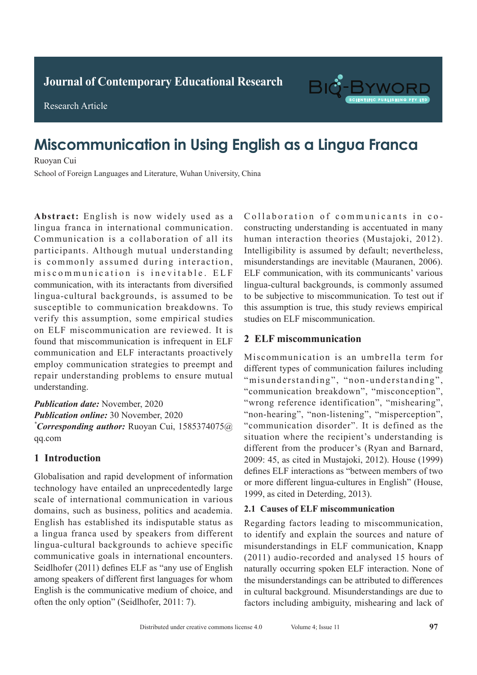**Journal of Clinical and Nursing Research Journal of Contemporary Educational Research**



**Research Article** 

Research Article

# Miscommunication in Using English as a Lingua Franca Ruoyan Cui

Ruoyan Cui Ruoyan Cui

School of Foreign Languages and Literature, Wuhan University, China

Abstract: English is now widely used as a lingua franca in international communication. Communication is a collaboration of all its participants. Although mutual understanding is commonly assumed during interaction, mis communication is inevitable. ELF communication, with its interactants from diversified lingua-cultural backgrounds, is assumed to be susceptible to communication breakdowns. To verify this assumption, some empirical studies on ELF miscommunication are reviewed. It is found that miscommunication is infrequent in ELF communication and ELF interactants proactively employ communication strategies to preempt and repair understanding problems to ensure mutual nderstanding.  $\mathcal{L}$ 

Publication date: November, 2020 Publication online: 30 November, 2020 *\** Corresponding author: Ruoyan Cui, 1585374075@ pulmonary tuberculosis signs was 98.85% higher than qq.com  $\frac{1}{2}$  which  $\frac{1}{2}$  is  $\frac{1}{2}$  and  $\frac{1}{2}$  is  $\frac{1}{2}$  is  $\frac{1}{2}$  is  $\frac{1}{2}$  is  $\frac{1}{2}$  is  $\frac{1}{2}$  is  $\frac{1}{2}$  is  $\frac{1}{2}$  is  $\frac{1}{2}$  is  $\frac{1}{2}$  is  $\frac{1}{2}$  is  $\frac{1}{2}$  is  $\frac{1}{2}$  is  $\frac{1}{2}$  $\mathcal{L}$  ray of  $\mathcal{L}$  rate of active of active of active of active of active of active of active of active of active of active of active of active of active of active of active of active of active of active of active o

### that of conventional chest X-ray of 79.31%. *P*<0.05). **1** Introduction

Globalisation and rapid development of information technology have entailed an unprecedentedly large scale of international communication in various domains, such as business, politics and academia. English has established its indisputable status as a lingua franca used by speakers from different lingua-cultural backgrounds to achieve specific **COMMUNISTERS** CONSIDERED TO ACTIVE PERSONAL COMMUNISTIC SUPPORTS. **Publication data Christian Community of Community** Seidlhofer (2011) defines ELF as "any use of English" among speakers or afficient mst anglages for whom<br>English is the communicative medium of choice, and *<u>Augustus and Communication</u>* Corresponding and the corresponding  $\frac{1}{2}$ often the only option" (Seidlhofer, 2011: 7).  $\frac{1}{2}$  and  $\frac{1}{2}$  and  $\frac{1}{2}$  and  $\frac{1}{2}$  and  $\frac{1}{2}$  and  $\frac{1}{2}$  and  $\frac{1}{2}$  and  $\frac{1}{2}$  and  $\frac{1}{2}$  and  $\frac{1}{2}$  and  $\frac{1}{2}$  and  $\frac{1}{2}$  and  $\frac{1}{2}$  and  $\frac{1}{2}$  and  $\frac{1}{2}$  and  $\frac{1}{2}$  a Collaboration of communicants in coconstructing understanding is accentuated in many human interaction theories (Mustajoki, 2012). Intelligibility is assumed by default; nevertheless, misunderstandings are inevitable (Mauranen, 2006). ELF communication, with its communicants' various lingua-cultural backgrounds, is commonly assumed to be subjective to miscommunication. To test out if this assumption is true, this study reviews empirical studies on ELF miscommunication.

### **2 ELF miscommunication**  $\boldsymbol{\mu}$  the inscommunication

or the immunity decreases. Therefore, early diagnosis Miscommunication is an umbrella term for different types of communication failures including "misunderstanding", "non-understanding", "communication breakdown", "misconception", "wrong reference identification", "mishearing", "non-hearing", "non-listening", "misperception", "communication disorder". It is defined as the situation where the recipient's understanding is different from the producer's (Ryan and Barnard, 2009: 45, as cited in Mustajoki, 2012). House (1999)  $2009$ : 18, as stice in masalgon,  $2012$ ). Instate (1999) defines ELF interactions as "between members of two or more different lingua-cultures in English" (House, 1999, as cited in Deterding, 2013).  $v_{\rm s}$  in a spiral CT enhanced scan in adult patients with  $v_{\rm s}$ 

#### **2.1 Causes of ELF miscommunication** 2.1 Causes of ELF miscome

**1 1 1 1 1 1 1 1 1** to identify and explain the sources and nature of (2011) audio-recorded and analysed 15 hours of naturally occurring spoken ELF interaction. None of the misunderstandings can be attributed to differences in cultural background. Misunderstandings are due to conventional chest Conventional chemical chemical chemical chemical chemical chemical chemical chemical chemical chemical chemical chemical chemical chemical chemical chemical chemical chemical chemical chemical chemical c factors including ambiguity, mishearing and lack of Regarding factors leading to miscommunication, misunderstandings in ELF communication, Knapp the misunderstandings can be attributed to differences<br>in cultural background. Misunderstandings are due to<br>factors including ambiguity, mishearing and lack of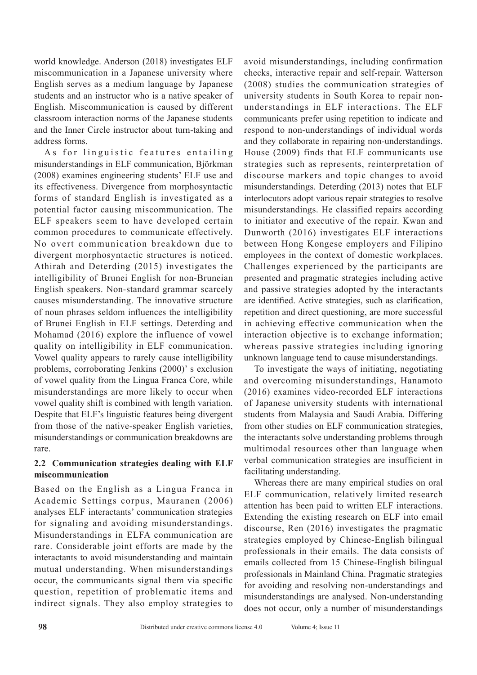world knowledge. Anderson (2018) investigates ELF miscommunication in a Japanese university where English serves as a medium language by Japanese students and an instructor who is a native speaker of English. Miscommunication is caused by different classroom interaction norms of the Japanese students and the Inner Circle instructor about turn-taking and address forms.

As for linguistic features entailing misunderstandings in ELF communication, Björkman (2008) examines engineering students' ELF use and its effectiveness. Divergence from morphosyntactic forms of standard English is investigated as a potential factor causing miscommunication. The ELF speakers seem to have developed certain common procedures to communicate effectively. No overt communication breakdown due to divergent morphosyntactic structures is noticed. Athirah and Deterding (2015) investigates the intelligibility of Brunei English for non-Bruneian English speakers. Non-standard grammar scarcely causes misunderstanding. The innovative structure of noun phrases seldom influences the intelligibility of Brunei English in ELF settings. Deterding and Mohamad (2016) explore the influence of vowel quality on intelligibility in ELF communication. Vowel quality appears to rarely cause intelligibility problems, corroborating Jenkins (2000)' s exclusion of vowel quality from the Lingua Franca Core, while misunderstandings are more likely to occur when vowel quality shift is combined with length variation. Despite that ELF's linguistic features being divergent from those of the native-speaker English varieties, misunderstandings or communication breakdowns are rare.

# **2.2 Communication strategies dealing with ELF miscommunication**

Based on the English as a Lingua Franca in Academic Settings corpus, Mauranen (2006) analyses ELF interactants' communication strategies for signaling and avoiding misunderstandings. Misunderstandings in ELFA communication are rare. Considerable joint efforts are made by the interactants to avoid misunderstanding and maintain mutual understanding. When misunderstandings occur, the communicants signal them via specific question, repetition of problematic items and indirect signals. They also employ strategies to avoid misunderstandings, including confirmation checks, interactive repair and self-repair. Watterson (2008) studies the communication strategies of university students in South Korea to repair nonunderstandings in ELF interactions. The ELF communicants prefer using repetition to indicate and respond to non-understandings of individual words and they collaborate in repairing non-understandings. House (2009) finds that ELF communicants use strategies such as represents, reinterpretation of discourse markers and topic changes to avoid misunderstandings. Deterding (2013) notes that ELF interlocutors adopt various repair strategies to resolve misunderstandings. He classified repairs according to initiator and executive of the repair. Kwan and Dunworth (2016) investigates ELF interactions between Hong Kongese employers and Filipino employees in the context of domestic workplaces. Challenges experienced by the participants are presented and pragmatic strategies including active and passive strategies adopted by the interactants are identified. Active strategies, such as clarification, repetition and direct questioning, are more successful in achieving effective communication when the interaction objective is to exchange information; whereas passive strategies including ignoring unknown language tend to cause misunderstandings.

To investigate the ways of initiating, negotiating and overcoming misunderstandings, Hanamoto (2016) examines video-recorded ELF interactions of Japanese university students with international students from Malaysia and Saudi Arabia. Differing from other studies on ELF communication strategies, the interactants solve understanding problems through multimodal resources other than language when verbal communication strategies are insufficient in facilitating understanding.

Whereas there are many empirical studies on oral ELF communication, relatively limited research attention has been paid to written ELF interactions. Extending the existing research on ELF into email discourse, Ren (2016) investigates the pragmatic strategies employed by Chinese-English bilingual professionals in their emails. The data consists of emails collected from 15 Chinese-English bilingual professionals in Mainland China. Pragmatic strategies for avoiding and resolving non-understandings and misunderstandings are analysed. Non-understanding does not occur, only a number of misunderstandings